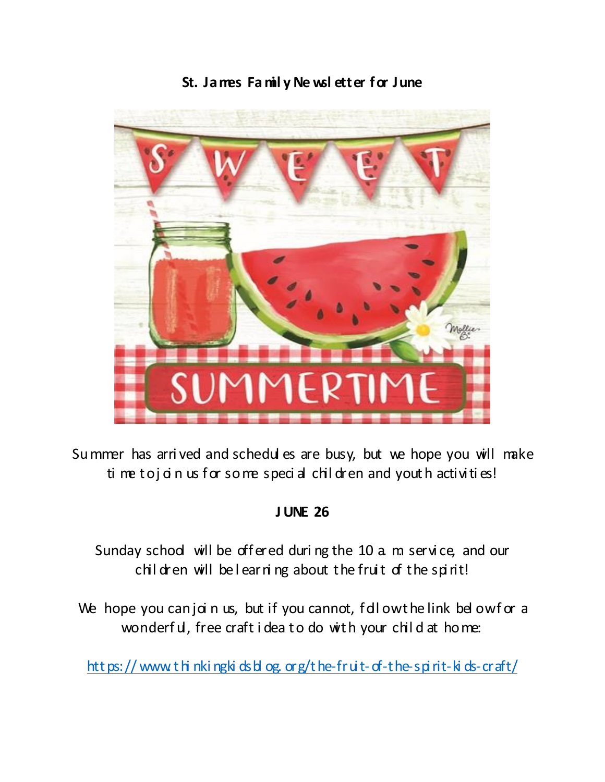



Summer has arrived and schedules are busy, but we hope you will make ti me to j a n us f or so me special children and youth activities!

#### **JUNE 26**

Sunday school will be offered during the 10 a m service, and our children will belearning about the fruit of the spirit!

We hope you can join us, but if you cannot, followthe link belowfor a wonderful, free craft idea to do with your child at home:

https://www.thinkingkidsblog.org/the-fruit-of-the-spirit-kids-craft/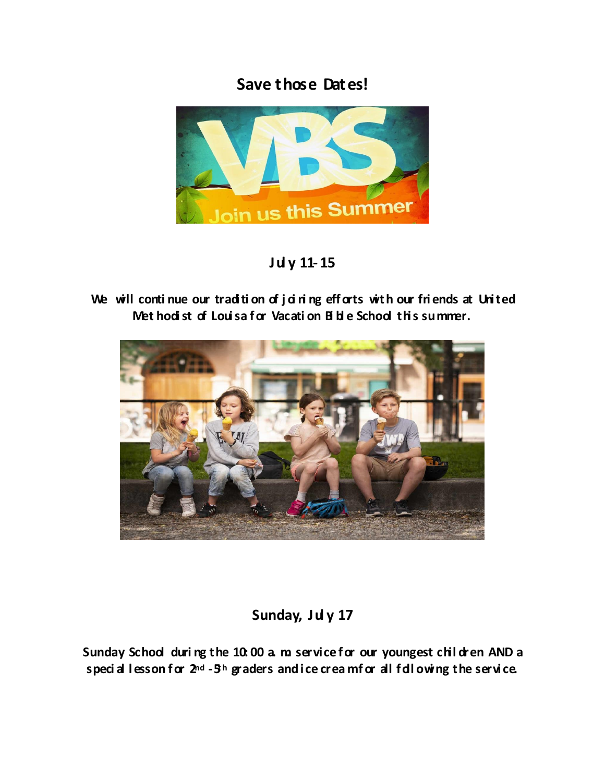## **Save those Dates!**



## **Jul y 11- 15**

We will continue our tradition of j d ring efforts with our friends at United **Met hodi st of Loui sa for Vacati on Bi bl e School thi s summer.**



### Sunday, July 17

Sunday School during the 10:00 a m service for our youngest chil dren AND a speci al lesson for  $2^{nd}$  -5<sup>h</sup> graders and ice crea mfor all following the service.